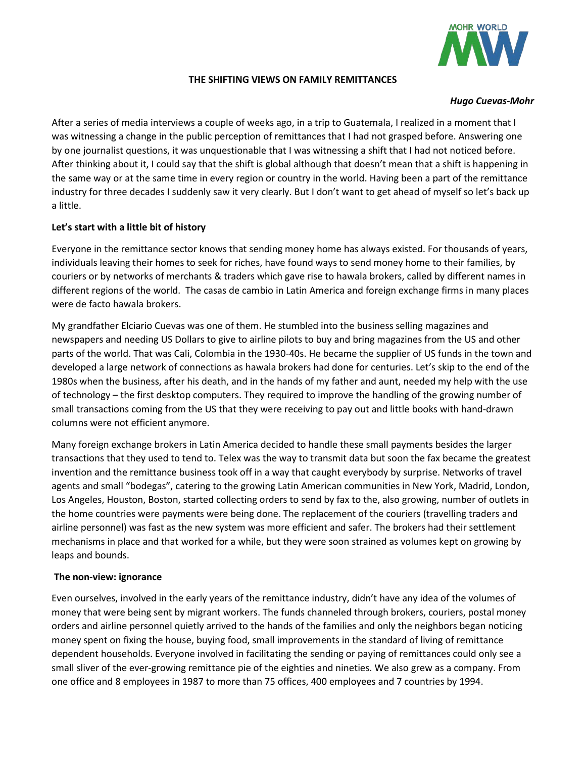

### **THE SHIFTING VIEWS ON FAMILY REMITTANCES**

#### *Hugo Cuevas-Mohr*

After a series of media interviews a couple of weeks ago, in a trip to Guatemala, I realized in a moment that I was witnessing a change in the public perception of remittances that I had not grasped before. Answering one by one journalist questions, it was unquestionable that I was witnessing a shift that I had not noticed before. After thinking about it, I could say that the shift is global although that doesn't mean that a shift is happening in the same way or at the same time in every region or country in the world. Having been a part of the remittance industry for three decades I suddenly saw it very clearly. But I don't want to get ahead of myself so let's back up a little.

# **Let's start with a little bit of history**

Everyone in the remittance sector knows that sending money home has always existed. For thousands of years, individuals leaving their homes to seek for riches, have found ways to send money home to their families, by couriers or by networks of merchants & traders which gave rise to hawala brokers, called by different names in different regions of the world. The casas de cambio in Latin America and foreign exchange firms in many places were de facto hawala brokers.

My grandfather Elciario Cuevas was one of them. He stumbled into the business selling magazines and newspapers and needing US Dollars to give to airline pilots to buy and bring magazines from the US and other parts of the world. That was Cali, Colombia in the 1930-40s. He became the supplier of US funds in the town and developed a large network of connections as hawala brokers had done for centuries. Let's skip to the end of the 1980s when the business, after his death, and in the hands of my father and aunt, needed my help with the use of technology – the first desktop computers. They required to improve the handling of the growing number of small transactions coming from the US that they were receiving to pay out and little books with hand-drawn columns were not efficient anymore.

Many foreign exchange brokers in Latin America decided to handle these small payments besides the larger transactions that they used to tend to. Telex was the way to transmit data but soon the fax became the greatest invention and the remittance business took off in a way that caught everybody by surprise. Networks of travel agents and small "bodegas", catering to the growing Latin American communities in New York, Madrid, London, Los Angeles, Houston, Boston, started collecting orders to send by fax to the, also growing, number of outlets in the home countries were payments were being done. The replacement of the couriers (travelling traders and airline personnel) was fast as the new system was more efficient and safer. The brokers had their settlement mechanisms in place and that worked for a while, but they were soon strained as volumes kept on growing by leaps and bounds.

### **The non-view: ignorance**

Even ourselves, involved in the early years of the remittance industry, didn't have any idea of the volumes of money that were being sent by migrant workers. The funds channeled through brokers, couriers, postal money orders and airline personnel quietly arrived to the hands of the families and only the neighbors began noticing money spent on fixing the house, buying food, small improvements in the standard of living of remittance dependent households. Everyone involved in facilitating the sending or paying of remittances could only see a small sliver of the ever-growing remittance pie of the eighties and nineties. We also grew as a company. From one office and 8 employees in 1987 to more than 75 offices, 400 employees and 7 countries by 1994.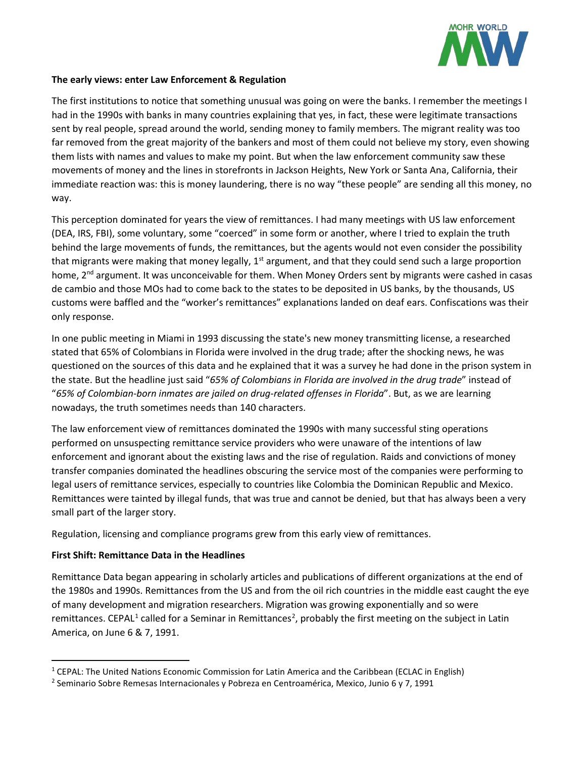

### **The early views: enter Law Enforcement & Regulation**

The first institutions to notice that something unusual was going on were the banks. I remember the meetings I had in the 1990s with banks in many countries explaining that yes, in fact, these were legitimate transactions sent by real people, spread around the world, sending money to family members. The migrant reality was too far removed from the great majority of the bankers and most of them could not believe my story, even showing them lists with names and values to make my point. But when the law enforcement community saw these movements of money and the lines in storefronts in Jackson Heights, New York or Santa Ana, California, their immediate reaction was: this is money laundering, there is no way "these people" are sending all this money, no way.

This perception dominated for years the view of remittances. I had many meetings with US law enforcement (DEA, IRS, FBI), some voluntary, some "coerced" in some form or another, where I tried to explain the truth behind the large movements of funds, the remittances, but the agents would not even consider the possibility that migrants were making that money legally,  $1<sup>st</sup>$  argument, and that they could send such a large proportion home,  $2<sup>nd</sup>$  argument. It was unconceivable for them. When Money Orders sent by migrants were cashed in casas de cambio and those MOs had to come back to the states to be deposited in US banks, by the thousands, US customs were baffled and the "worker's remittances" explanations landed on deaf ears. Confiscations was their only response.

In one public meeting in Miami in 1993 discussing the state's new money transmitting license, a researched stated that 65% of Colombians in Florida were involved in the drug trade; after the shocking news, he was questioned on the sources of this data and he explained that it was a survey he had done in the prison system in the state. But the headline just said "*65% of Colombians in Florida are involved in the drug trade*" instead of "*65% of Colombian-born inmates are jailed on drug-related offenses in Florida*". But, as we are learning nowadays, the truth sometimes needs than 140 characters.

The law enforcement view of remittances dominated the 1990s with many successful sting operations performed on unsuspecting remittance service providers who were unaware of the intentions of law enforcement and ignorant about the existing laws and the rise of regulation. Raids and convictions of money transfer companies dominated the headlines obscuring the service most of the companies were performing to legal users of remittance services, especially to countries like Colombia the Dominican Republic and Mexico. Remittances were tainted by illegal funds, that was true and cannot be denied, but that has always been a very small part of the larger story.

Regulation, licensing and compliance programs grew from this early view of remittances.

# **First Shift: Remittance Data in the Headlines**

Remittance Data began appearing in scholarly articles and publications of different organizations at the end of the 1980s and 1990s. Remittances from the US and from the oil rich countries in the middle east caught the eye of many development and migration researchers. Migration was growing exponentially and so were remittances. CEPAL<sup>[1](#page-1-0)</sup> called for a Seminar in Remittances<sup>[2](#page-1-1)</sup>, probably the first meeting on the subject in Latin America, on June 6 & 7, 1991.

<span id="page-1-0"></span> <sup>1</sup> CEPAL: The United Nations Economic Commission for Latin America and the Caribbean (ECLAC in English)

<span id="page-1-1"></span><sup>&</sup>lt;sup>2</sup> Seminario Sobre Remesas Internacionales y Pobreza en Centroamérica, Mexico, Junio 6 y 7, 1991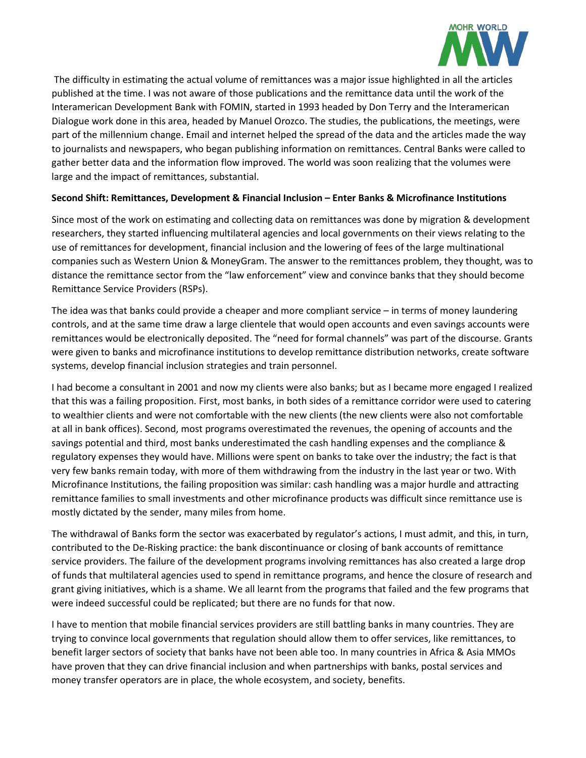

The difficulty in estimating the actual volume of remittances was a major issue highlighted in all the articles published at the time. I was not aware of those publications and the remittance data until the work of the Interamerican Development Bank with FOMIN, started in 1993 headed by Don Terry and the Interamerican Dialogue work done in this area, headed by Manuel Orozco. The studies, the publications, the meetings, were part of the millennium change. Email and internet helped the spread of the data and the articles made the way to journalists and newspapers, who began publishing information on remittances. Central Banks were called to gather better data and the information flow improved. The world was soon realizing that the volumes were large and the impact of remittances, substantial.

# **Second Shift: Remittances, Development & Financial Inclusion – Enter Banks & Microfinance Institutions**

Since most of the work on estimating and collecting data on remittances was done by migration & development researchers, they started influencing multilateral agencies and local governments on their views relating to the use of remittances for development, financial inclusion and the lowering of fees of the large multinational companies such as Western Union & MoneyGram. The answer to the remittances problem, they thought, was to distance the remittance sector from the "law enforcement" view and convince banks that they should become Remittance Service Providers (RSPs).

The idea was that banks could provide a cheaper and more compliant service – in terms of money laundering controls, and at the same time draw a large clientele that would open accounts and even savings accounts were remittances would be electronically deposited. The "need for formal channels" was part of the discourse. Grants were given to banks and microfinance institutions to develop remittance distribution networks, create software systems, develop financial inclusion strategies and train personnel.

I had become a consultant in 2001 and now my clients were also banks; but as I became more engaged I realized that this was a failing proposition. First, most banks, in both sides of a remittance corridor were used to catering to wealthier clients and were not comfortable with the new clients (the new clients were also not comfortable at all in bank offices). Second, most programs overestimated the revenues, the opening of accounts and the savings potential and third, most banks underestimated the cash handling expenses and the compliance & regulatory expenses they would have. Millions were spent on banks to take over the industry; the fact is that very few banks remain today, with more of them withdrawing from the industry in the last year or two. With Microfinance Institutions, the failing proposition was similar: cash handling was a major hurdle and attracting remittance families to small investments and other microfinance products was difficult since remittance use is mostly dictated by the sender, many miles from home.

The withdrawal of Banks form the sector was exacerbated by regulator's actions, I must admit, and this, in turn, contributed to the De-Risking practice: the bank discontinuance or closing of bank accounts of remittance service providers. The failure of the development programs involving remittances has also created a large drop of funds that multilateral agencies used to spend in remittance programs, and hence the closure of research and grant giving initiatives, which is a shame. We all learnt from the programs that failed and the few programs that were indeed successful could be replicated; but there are no funds for that now.

I have to mention that mobile financial services providers are still battling banks in many countries. They are trying to convince local governments that regulation should allow them to offer services, like remittances, to benefit larger sectors of society that banks have not been able too. In many countries in Africa & Asia MMOs have proven that they can drive financial inclusion and when partnerships with banks, postal services and money transfer operators are in place, the whole ecosystem, and society, benefits.